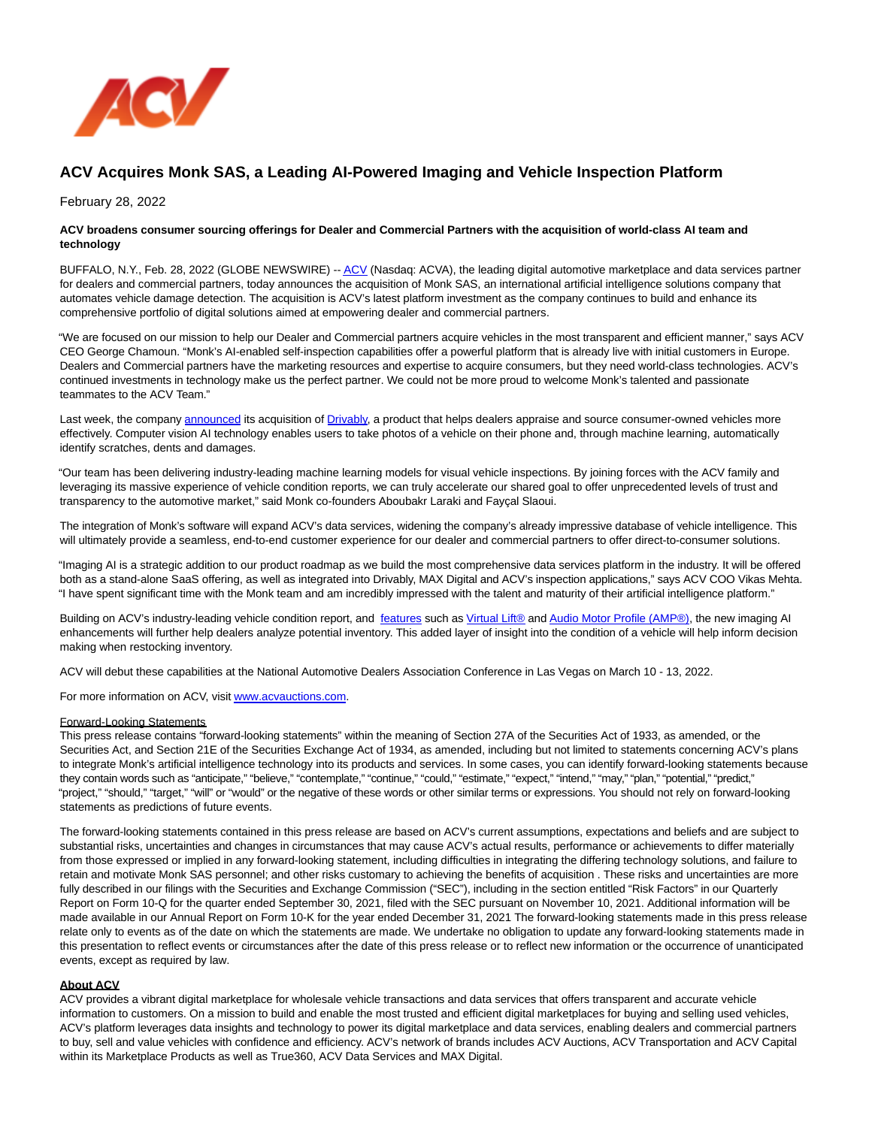

## **ACV Acquires Monk SAS, a Leading AI-Powered Imaging and Vehicle Inspection Platform**

February 28, 2022

## **ACV broadens consumer sourcing offerings for Dealer and Commercial Partners with the acquisition of world-class AI team and technology**

BUFFALO, N.Y., Feb. 28, 2022 (GLOBE NEWSWIRE) -[- ACV \(](https://www.globenewswire.com/Tracker?data=vF0EiFKC9DH5SWgaDstiLaw17GgvcQn-0hPHl2GBi8tjl7gnWTU0s5giJYtkgmigOuZtpfHiIgQl9BZ-B9HiSg==)Nasdaq: ACVA), the leading digital automotive marketplace and data services partner for dealers and commercial partners, today announces the acquisition of Monk SAS, an international artificial intelligence solutions company that automates vehicle damage detection. The acquisition is ACV's latest platform investment as the company continues to build and enhance its comprehensive portfolio of digital solutions aimed at empowering dealer and commercial partners.

"We are focused on our mission to help our Dealer and Commercial partners acquire vehicles in the most transparent and efficient manner," says ACV CEO George Chamoun. "Monk's AI-enabled self-inspection capabilities offer a powerful platform that is already live with initial customers in Europe. Dealers and Commercial partners have the marketing resources and expertise to acquire consumers, but they need world-class technologies. ACV's continued investments in technology make us the perfect partner. We could not be more proud to welcome Monk's talented and passionate teammates to the ACV Team."

Last week, the company [announced i](https://www.globenewswire.com/Tracker?data=QrhMcXmO5LVVKVddfY3oBJraVJ4RFrw4H5Ba_AR9Zh55vjZXb8Z4mKSdEEiiVuJKeNN5UpWvwHHVBhzaYLGa-f7a2PfHNiuRk7_LMsyOYdnpudE3tm7SMrqAUqEaX4zFrkkswTzdGiX6AOKts2QBXNxs9vgIYLnZMSDhhaYwqoLIJ0qxfR4jXH_6YYbUHWBpdB7LyF1mThN0FhjRgYnlhexkKb75wbx4MIi_Bx8c88yr2bo61989WGMXA-ZCIby2mUBsCnffYTZpICyceg_cJCcXEX88Dy0j3i_vy0nT9JGYniYbzQyzvqwwR84WDdr3)ts acquisition of [Drivably,](https://www.globenewswire.com/Tracker?data=DossYTA-N6nbdW48YWFlCYPxiB46pRrwbh2BPXzLRDDyG1e6or6sgnogKydSd7rp3O-Uke6s7W3RlBGkjXv1_w==) a product that helps dealers appraise and source consumer-owned vehicles more effectively. Computer vision AI technology enables users to take photos of a vehicle on their phone and, through machine learning, automatically identify scratches, dents and damages.

"Our team has been delivering industry-leading machine learning models for visual vehicle inspections. By joining forces with the ACV family and leveraging its massive experience of vehicle condition reports, we can truly accelerate our shared goal to offer unprecedented levels of trust and transparency to the automotive market," said Monk co-founders Aboubakr Laraki and Fayçal Slaoui.

The integration of Monk's software will expand ACV's data services, widening the company's already impressive database of vehicle intelligence. This will ultimately provide a seamless, end-to-end customer experience for our dealer and commercial partners to offer direct-to-consumer solutions.

"Imaging AI is a strategic addition to our product roadmap as we build the most comprehensive data services platform in the industry. It will be offered both as a stand-alone SaaS offering, as well as integrated into Drivably, MAX Digital and ACV's inspection applications," says ACV COO Vikas Mehta. "I have spent significant time with the Monk team and am incredibly impressed with the talent and maturity of their artificial intelligence platform."

Building on ACV's industry-leading vehicle condition report, and [features s](https://www.globenewswire.com/Tracker?data=IQ_T80nMz83VFuSu9flQt4g-39_QOJkEbeilITBty_oIXO9CjEra-gcdi33T96KCWKb7-rIDuFMPoo0uGWVdMlUIOKIr9a9fmRvK-nNZM7A=)uch as [Virtual Lift® a](https://www.globenewswire.com/Tracker?data=6XVRCKqYMlyY4Qhs-EaMSBj7zDZDF5lVTGGIAhsReKO1kQ94eB2cHGUga449Kq-hV1c3GGvK3O_H9bfLocr7htr7vi5-_cHLrUKGE2Mqf0bwtLbYKaL8-_7hkF3ExyLXpBYvzNt-2jABLko5pMLJAe0ZrKKSQYPlWjscuWrUTLk=)n[d Audio Motor Profile \(AMP®\),](https://www.globenewswire.com/Tracker?data=MaMXn3HBqpswtlROujCaRcT7eQhw7NPTjNBsrGWMnscz0NnhUcvUMkXV9AOpREOY1-BzmAw6UQ1aTrw55Nx3Ee9iEsnF3bOls8WkIhaErdKEf6G_UZU5qjVcbm7e8BkZ72RdKCA2cbjKI8Vgcbut3Yq6USP8NFmUpAUV52Ne8kLVhbo7aMPjGyVb6hWJcrAk7NwVnKZtpVg8r3-8XbEtgZI5X2nMe0XurAeEeEJdCgrX5YtPHF_0Wq4ZWSx9kVV1hxnkvr7TmrgjrSS87HAIBw==) the new imaging AI enhancements will further help dealers analyze potential inventory. This added layer of insight into the condition of a vehicle will help inform decision making when restocking inventory.

ACV will debut these capabilities at the National Automotive Dealers Association Conference in Las Vegas on March 10 - 13, 2022.

For more information on ACV, visi[t www.acvauctions.com.](https://www.globenewswire.com/Tracker?data=0cy-Vv963BPJCQgfWeo40mdJmB1c9xpOH2uDmCze7J3NspHyCArsX_irZoARLNRgu1z0YbM9fAbKHsa05eF9LyCF6G8zGpE2BJLI9ppwo20=)

## Forward-Looking Statements

This press release contains "forward-looking statements" within the meaning of Section 27A of the Securities Act of 1933, as amended, or the Securities Act, and Section 21E of the Securities Exchange Act of 1934, as amended, including but not limited to statements concerning ACV's plans to integrate Monk's artificial intelligence technology into its products and services. In some cases, you can identify forward-looking statements because they contain words such as "anticipate," "believe," "contemplate," "continue," "could," "estimate," "expect," "intend," "may," "plan," "potential," "predict," "project," "should," "target," "will" or "would" or the negative of these words or other similar terms or expressions. You should not rely on forward-looking statements as predictions of future events.

The forward-looking statements contained in this press release are based on ACV's current assumptions, expectations and beliefs and are subject to substantial risks, uncertainties and changes in circumstances that may cause ACV's actual results, performance or achievements to differ materially from those expressed or implied in any forward-looking statement, including difficulties in integrating the differing technology solutions, and failure to retain and motivate Monk SAS personnel; and other risks customary to achieving the benefits of acquisition . These risks and uncertainties are more fully described in our filings with the Securities and Exchange Commission ("SEC"), including in the section entitled "Risk Factors" in our Quarterly Report on Form 10-Q for the quarter ended September 30, 2021, filed with the SEC pursuant on November 10, 2021. Additional information will be made available in our Annual Report on Form 10-K for the year ended December 31, 2021 The forward-looking statements made in this press release relate only to events as of the date on which the statements are made. We undertake no obligation to update any forward-looking statements made in this presentation to reflect events or circumstances after the date of this press release or to reflect new information or the occurrence of unanticipated events, except as required by law.

## **About ACV**

ACV provides a vibrant digital marketplace for wholesale vehicle transactions and data services that offers transparent and accurate vehicle information to customers. On a mission to build and enable the most trusted and efficient digital marketplaces for buying and selling used vehicles, ACV's platform leverages data insights and technology to power its digital marketplace and data services, enabling dealers and commercial partners to buy, sell and value vehicles with confidence and efficiency. ACV's network of brands includes ACV Auctions, ACV Transportation and ACV Capital within its Marketplace Products as well as True360, ACV Data Services and MAX Digital.